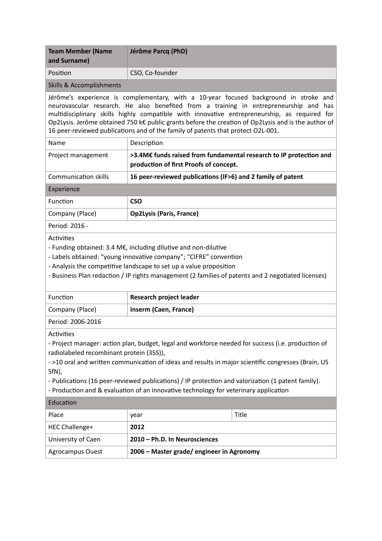| <b>Team Member (Name</b><br>and Surname)                                                                                                                                                                                                                                                                                                                                                                                                                                  | Jérôme Parcq (PhD)                                                                                           |              |  |  |
|---------------------------------------------------------------------------------------------------------------------------------------------------------------------------------------------------------------------------------------------------------------------------------------------------------------------------------------------------------------------------------------------------------------------------------------------------------------------------|--------------------------------------------------------------------------------------------------------------|--------------|--|--|
| Position                                                                                                                                                                                                                                                                                                                                                                                                                                                                  | CSO, Co-founder                                                                                              |              |  |  |
| <b>Skills &amp; Accomplishments</b>                                                                                                                                                                                                                                                                                                                                                                                                                                       |                                                                                                              |              |  |  |
| Jérôme's experience is complementary, with a 10-year focused background in stroke and<br>neurovascular research. He also benefited from a training in entrepreneurship and has<br>multidisciplinary skills highly compatible with innovative entrepreneurship, as required for<br>Op2Lysis. Jerôme obtained 750 k€ public grants before the creation of Op2Lysis and is the author of<br>16 peer-reviewed publications and of the family of patents that protect O2L-001. |                                                                                                              |              |  |  |
| Name                                                                                                                                                                                                                                                                                                                                                                                                                                                                      | Description                                                                                                  |              |  |  |
| Project management                                                                                                                                                                                                                                                                                                                                                                                                                                                        | >3.4M€ funds raised from fundamental research to IP protection and<br>production of first Proofs of concept. |              |  |  |
| <b>Communication skills</b>                                                                                                                                                                                                                                                                                                                                                                                                                                               | 16 peer-reviewed publications (IF>6) and 2 family of patent                                                  |              |  |  |
| Experience                                                                                                                                                                                                                                                                                                                                                                                                                                                                |                                                                                                              |              |  |  |
| Function                                                                                                                                                                                                                                                                                                                                                                                                                                                                  | <b>CSO</b>                                                                                                   |              |  |  |
| Company (Place)                                                                                                                                                                                                                                                                                                                                                                                                                                                           | <b>Op2Lysis (Paris, France)</b>                                                                              |              |  |  |
| Period: 2016 -                                                                                                                                                                                                                                                                                                                                                                                                                                                            |                                                                                                              |              |  |  |
| - Funding obtained: 3.4 M $\epsilon$ , including dilutive and non-dilutive<br>- Labels obtained: "young innovative company"; "CIFRE" convention<br>- Analysis the competitive landscape to set up a value proposition<br>- Business Plan redaction / IP rights management (2 families of patents and 2 negotiated licenses)                                                                                                                                               |                                                                                                              |              |  |  |
| Function                                                                                                                                                                                                                                                                                                                                                                                                                                                                  | Research project leader                                                                                      |              |  |  |
| Company (Place)                                                                                                                                                                                                                                                                                                                                                                                                                                                           | Inserm (Caen, France)                                                                                        |              |  |  |
| Period: 2006-2016                                                                                                                                                                                                                                                                                                                                                                                                                                                         |                                                                                                              |              |  |  |
| Activities<br>- Project manager: action plan, budget, legal and workforce needed for success (i.e. production of<br>radiolabeled recombinant protein (35S)),<br>->10 oral and written communication of ideas and results in major scientific congresses (Brain, US<br>SfN),<br>- Publications (16 peer-reviewed publications) / IP protection and valorization (1 patent family).<br>- Production and & evaluation of an innovative technology for veterinary application |                                                                                                              |              |  |  |
| Education                                                                                                                                                                                                                                                                                                                                                                                                                                                                 |                                                                                                              |              |  |  |
| Place                                                                                                                                                                                                                                                                                                                                                                                                                                                                     | year                                                                                                         | <b>Title</b> |  |  |
| HEC Challenge+                                                                                                                                                                                                                                                                                                                                                                                                                                                            | 2012                                                                                                         |              |  |  |
| University of Caen                                                                                                                                                                                                                                                                                                                                                                                                                                                        | 2010 - Ph.D. In Neurosciences                                                                                |              |  |  |
| Agrocampus Ouest                                                                                                                                                                                                                                                                                                                                                                                                                                                          | 2006 – Master grade/engineer in Agronomy                                                                     |              |  |  |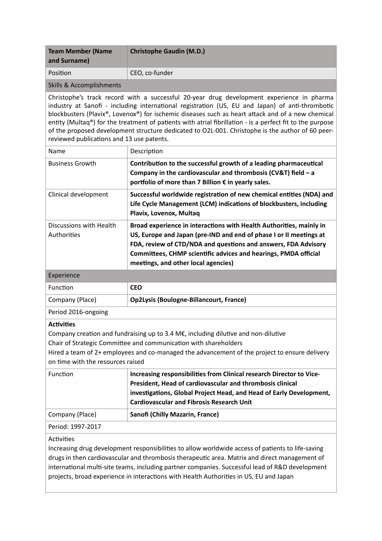| <b>Team Member (Name</b><br>and Surname) | <b>Christophe Gaudin (M.D.)</b> |
|------------------------------------------|---------------------------------|
| Position                                 | CEO, co-funder                  |

Skills & Accomplishments

Christophe's track record with a successful 20-year drug development experience in pharma industry at Sanofi - including international registration (US, EU and Japan) of anti-thrombotic blockbusters (Plavix®, Lovenox®) for ischemic diseases such as heart attack and of a new chemical entity (Multaq®) for the treatment of patients with atrial fibrillation - is a perfect fit to the purpose of the proposed development structure dedicated to O2L-001. Christophe is the author of 60 peerreviewed publications and 13 use patents.

| Name                                                                                                                                                                                                                                                                                                                        | Description                                                                                                                                                                                                                                                                                                                  |  |  |
|-----------------------------------------------------------------------------------------------------------------------------------------------------------------------------------------------------------------------------------------------------------------------------------------------------------------------------|------------------------------------------------------------------------------------------------------------------------------------------------------------------------------------------------------------------------------------------------------------------------------------------------------------------------------|--|--|
| <b>Business Growth</b>                                                                                                                                                                                                                                                                                                      | Contribution to the successful growth of a leading pharmaceutical<br>Company in the cardiovascular and thrombosis (CV&T) field - a<br>portfolio of more than 7 Billion € in yearly sales.                                                                                                                                    |  |  |
| Clinical development                                                                                                                                                                                                                                                                                                        | Successful worldwide registration of new chemical entities (NDA) and<br>Life Cycle Management (LCM) indications of blockbusters, including<br>Plavix, Lovenox, Multaq                                                                                                                                                        |  |  |
| Discussions with Health<br>Authorities                                                                                                                                                                                                                                                                                      | Broad experience in interactions with Health Authorities, mainly in<br>US, Europe and Japan (pre-IND and end of phase I or II meetings at<br>FDA, review of CTD/NDA and questions and answers, FDA Advisory<br><b>Committees, CHMP scientific advices and hearings, PMDA official</b><br>meetings, and other local agencies) |  |  |
| Experience                                                                                                                                                                                                                                                                                                                  |                                                                                                                                                                                                                                                                                                                              |  |  |
| Function                                                                                                                                                                                                                                                                                                                    | <b>CEO</b>                                                                                                                                                                                                                                                                                                                   |  |  |
| Company (Place)                                                                                                                                                                                                                                                                                                             | <b>Op2Lysis (Boulogne-Billancourt, France)</b>                                                                                                                                                                                                                                                                               |  |  |
| Period 2016-ongoing                                                                                                                                                                                                                                                                                                         |                                                                                                                                                                                                                                                                                                                              |  |  |
| <b>Activities</b><br>Company creation and fundraising up to 3.4 $M\epsilon$ , including dilutive and non-dilutive<br>Chair of Strategic Committee and communication with shareholders<br>Hired a team of 2+ employees and co-managed the advancement of the project to ensure delivery<br>on time with the resources raised |                                                                                                                                                                                                                                                                                                                              |  |  |
|                                                                                                                                                                                                                                                                                                                             |                                                                                                                                                                                                                                                                                                                              |  |  |
| Function                                                                                                                                                                                                                                                                                                                    | Increasing responsibilities from Clinical research Director to Vice-<br>President, Head of cardiovascular and thrombosis clinical<br>investigations, Global Project Head, and Head of Early Development,<br><b>Cardiovascular and Fibrosis Research Unit</b>                                                                 |  |  |
| Company (Place)                                                                                                                                                                                                                                                                                                             | Sanofi (Chilly Mazarin, France)                                                                                                                                                                                                                                                                                              |  |  |
| Period: 1997-2017                                                                                                                                                                                                                                                                                                           |                                                                                                                                                                                                                                                                                                                              |  |  |

## Activities

Increasing drug development responsibilities to allow worldwide access of patients to life-saving drugs in then cardiovascular and thrombosis therapeutic area. Matrix and direct management of international multi-site teams, including partner companies. Successful lead of R&D development projects, broad experience in interactions with Health Authorities in US, EU and Japan